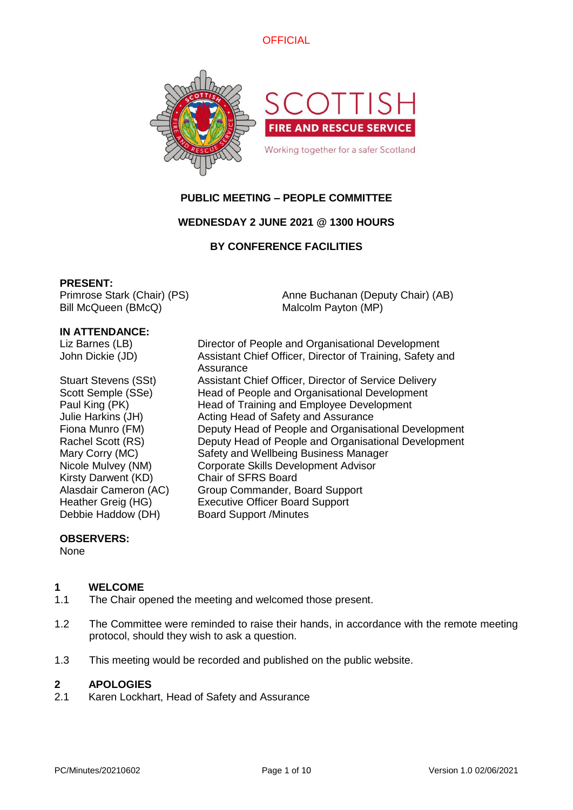



# **PUBLIC MEETING – PEOPLE COMMITTEE**

# **WEDNESDAY 2 JUNE 2021 @ 1300 HOURS**

## **BY CONFERENCE FACILITIES**

#### **PRESENT:**

Primrose Stark (Chair) (PS) Bill McQueen (BMcQ)

Anne Buchanan (Deputy Chair) (AB) Malcolm Payton (MP)

#### **IN ATTENDANCE:**

| Liz Barnes (LB)  |
|------------------|
| John Dickie (JD) |

Kirsty Darwent (KD) Chair of SFRS Board

Director of People and Organisational Development Assistant Chief Officer, Director of Training, Safety and Assurance Stuart Stevens (SSt) Assistant Chief Officer, Director of Service Delivery Scott Semple (SSe) Head of People and Organisational Development Paul King (PK) Head of Training and Employee Development Julie Harkins (JH) Acting Head of Safety and Assurance Fiona Munro (FM) Deputy Head of People and Organisational Development Rachel Scott (RS) Deputy Head of People and Organisational Development Mary Corry (MC) Safety and Wellbeing Business Manager Nicole Mulvey (NM) Corporate Skills Development Advisor Alasdair Cameron (AC) Group Commander, Board Support Heather Greig (HG) Executive Officer Board Support Debbie Haddow (DH) Board Support /Minutes

#### **OBSERVERS:**

None

## **1 WELCOME**

- 1.1 The Chair opened the meeting and welcomed those present.
- 1.2 The Committee were reminded to raise their hands, in accordance with the remote meeting protocol, should they wish to ask a question.
- 1.3 This meeting would be recorded and published on the public website.

#### **2 APOLOGIES**

2.1 Karen Lockhart, Head of Safety and Assurance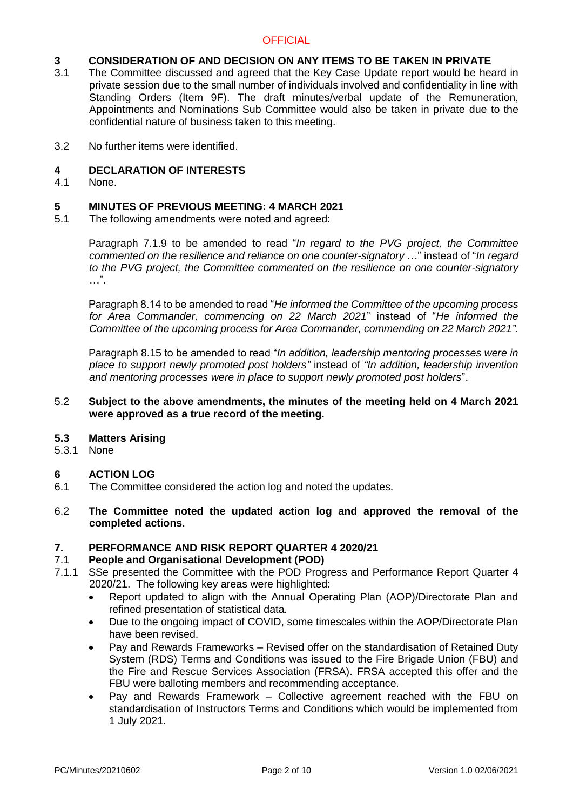# **3 CONSIDERATION OF AND DECISION ON ANY ITEMS TO BE TAKEN IN PRIVATE**

- 3.1 The Committee discussed and agreed that the Key Case Update report would be heard in private session due to the small number of individuals involved and confidentiality in line with Standing Orders (Item 9F). The draft minutes/verbal update of the Remuneration, Appointments and Nominations Sub Committee would also be taken in private due to the confidential nature of business taken to this meeting.
- 3.2 No further items were identified.

## **4 DECLARATION OF INTERESTS**

4.1 None.

# **5 MINUTES OF PREVIOUS MEETING: 4 MARCH 2021**

5.1 The following amendments were noted and agreed:

Paragraph 7.1.9 to be amended to read "*In regard to the PVG project, the Committee commented on the resilience and reliance on one counter-signatory* …" instead of "*In regard to the PVG project, the Committee commented on the resilience on one counter-signatory*  $\ldots$ ".

Paragraph 8.14 to be amended to read "*He informed the Committee of the upcoming process for Area Commander, commencing on 22 March 2021*" instead of "*He informed the Committee of the upcoming process for Area Commander, commending on 22 March 2021".*

Paragraph 8.15 to be amended to read "*In addition, leadership mentoring processes were in place to support newly promoted post holders"* instead of *"In addition, leadership invention and mentoring processes were in place to support newly promoted post holders*".

#### 5.2 **Subject to the above amendments, the minutes of the meeting held on 4 March 2021 were approved as a true record of the meeting.**

- **5.3 Matters Arising**
- 5.3.1 None

# **6 ACTION LOG**

- 6.1 The Committee considered the action log and noted the updates.
- 6.2 **The Committee noted the updated action log and approved the removal of the completed actions.**

### **7. PERFORMANCE AND RISK REPORT QUARTER 4 2020/21**

#### 7.1 **People and Organisational Development (POD)**

- 7.1.1 SSe presented the Committee with the POD Progress and Performance Report Quarter 4 2020/21. The following key areas were highlighted:
	- Report updated to align with the Annual Operating Plan (AOP)/Directorate Plan and refined presentation of statistical data.
	- Due to the ongoing impact of COVID, some timescales within the AOP/Directorate Plan have been revised.
	- Pay and Rewards Frameworks Revised offer on the standardisation of Retained Duty System (RDS) Terms and Conditions was issued to the Fire Brigade Union (FBU) and the Fire and Rescue Services Association (FRSA). FRSA accepted this offer and the FBU were balloting members and recommending acceptance.
	- Pay and Rewards Framework Collective agreement reached with the FBU on standardisation of Instructors Terms and Conditions which would be implemented from 1 July 2021.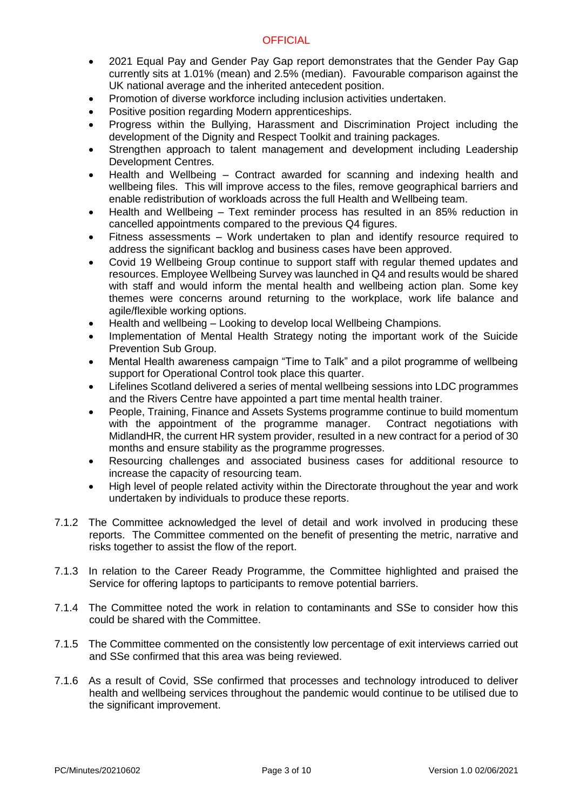- 2021 Equal Pay and Gender Pay Gap report demonstrates that the Gender Pay Gap currently sits at 1.01% (mean) and 2.5% (median). Favourable comparison against the UK national average and the inherited antecedent position.
- Promotion of diverse workforce including inclusion activities undertaken.
- Positive position regarding Modern apprenticeships.
- Progress within the Bullying, Harassment and Discrimination Project including the development of the Dignity and Respect Toolkit and training packages.
- Strengthen approach to talent management and development including Leadership Development Centres.
- Health and Wellbeing Contract awarded for scanning and indexing health and wellbeing files. This will improve access to the files, remove geographical barriers and enable redistribution of workloads across the full Health and Wellbeing team.
- Health and Wellbeing Text reminder process has resulted in an 85% reduction in cancelled appointments compared to the previous Q4 figures.
- Fitness assessments Work undertaken to plan and identify resource required to address the significant backlog and business cases have been approved.
- Covid 19 Wellbeing Group continue to support staff with regular themed updates and resources. Employee Wellbeing Survey was launched in Q4 and results would be shared with staff and would inform the mental health and wellbeing action plan. Some key themes were concerns around returning to the workplace, work life balance and agile/flexible working options.
- Health and wellbeing Looking to develop local Wellbeing Champions.
- Implementation of Mental Health Strategy noting the important work of the Suicide Prevention Sub Group.
- Mental Health awareness campaign "Time to Talk" and a pilot programme of wellbeing support for Operational Control took place this quarter.
- Lifelines Scotland delivered a series of mental wellbeing sessions into LDC programmes and the Rivers Centre have appointed a part time mental health trainer.
- People, Training, Finance and Assets Systems programme continue to build momentum with the appointment of the programme manager. Contract negotiations with MidlandHR, the current HR system provider, resulted in a new contract for a period of 30 months and ensure stability as the programme progresses.
- Resourcing challenges and associated business cases for additional resource to increase the capacity of resourcing team.
- High level of people related activity within the Directorate throughout the year and work undertaken by individuals to produce these reports.
- 7.1.2 The Committee acknowledged the level of detail and work involved in producing these reports. The Committee commented on the benefit of presenting the metric, narrative and risks together to assist the flow of the report.
- 7.1.3 In relation to the Career Ready Programme, the Committee highlighted and praised the Service for offering laptops to participants to remove potential barriers.
- 7.1.4 The Committee noted the work in relation to contaminants and SSe to consider how this could be shared with the Committee.
- 7.1.5 The Committee commented on the consistently low percentage of exit interviews carried out and SSe confirmed that this area was being reviewed.
- 7.1.6 As a result of Covid, SSe confirmed that processes and technology introduced to deliver health and wellbeing services throughout the pandemic would continue to be utilised due to the significant improvement.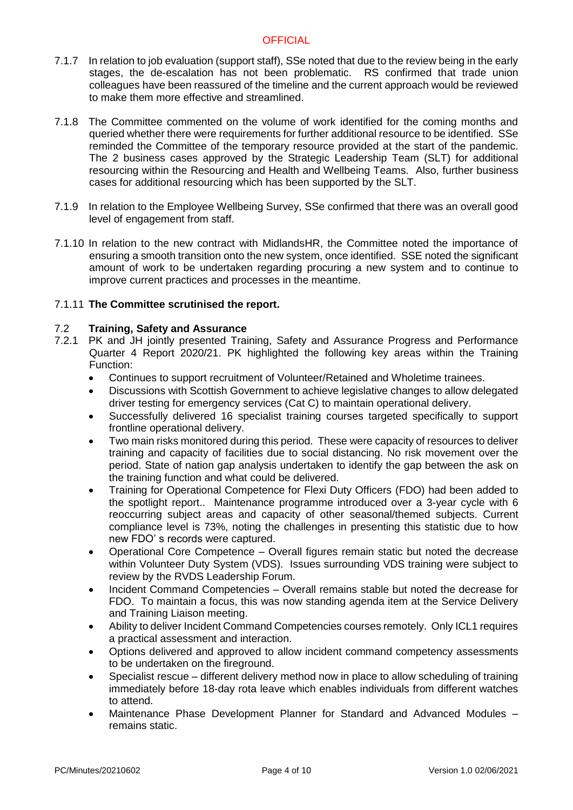- 7.1.7 In relation to job evaluation (support staff), SSe noted that due to the review being in the early stages, the de-escalation has not been problematic. RS confirmed that trade union colleagues have been reassured of the timeline and the current approach would be reviewed to make them more effective and streamlined.
- 7.1.8 The Committee commented on the volume of work identified for the coming months and queried whether there were requirements for further additional resource to be identified. SSe reminded the Committee of the temporary resource provided at the start of the pandemic. The 2 business cases approved by the Strategic Leadership Team (SLT) for additional resourcing within the Resourcing and Health and Wellbeing Teams. Also, further business cases for additional resourcing which has been supported by the SLT.
- 7.1.9 In relation to the Employee Wellbeing Survey, SSe confirmed that there was an overall good level of engagement from staff.
- 7.1.10 In relation to the new contract with MidlandsHR, the Committee noted the importance of ensuring a smooth transition onto the new system, once identified. SSE noted the significant amount of work to be undertaken regarding procuring a new system and to continue to improve current practices and processes in the meantime.

## 7.1.11 **The Committee scrutinised the report.**

#### 7.2 **Training, Safety and Assurance**

- 7.2.1 PK and JH jointly presented Training, Safety and Assurance Progress and Performance Quarter 4 Report 2020/21. PK highlighted the following key areas within the Training Function:
	- Continues to support recruitment of Volunteer/Retained and Wholetime trainees.
	- Discussions with Scottish Government to achieve legislative changes to allow delegated driver testing for emergency services (Cat C) to maintain operational delivery.
	- Successfully delivered 16 specialist training courses targeted specifically to support frontline operational delivery.
	- Two main risks monitored during this period. These were capacity of resources to deliver training and capacity of facilities due to social distancing. No risk movement over the period. State of nation gap analysis undertaken to identify the gap between the ask on the training function and what could be delivered.
	- Training for Operational Competence for Flexi Duty Officers (FDO) had been added to the spotlight report.. Maintenance programme introduced over a 3-year cycle with 6 reoccurring subject areas and capacity of other seasonal/themed subjects. Current compliance level is 73%, noting the challenges in presenting this statistic due to how new FDO' s records were captured.
	- Operational Core Competence Overall figures remain static but noted the decrease within Volunteer Duty System (VDS). Issues surrounding VDS training were subject to review by the RVDS Leadership Forum.
	- Incident Command Competencies Overall remains stable but noted the decrease for FDO. To maintain a focus, this was now standing agenda item at the Service Delivery and Training Liaison meeting.
	- Ability to deliver Incident Command Competencies courses remotely. Only ICL1 requires a practical assessment and interaction.
	- Options delivered and approved to allow incident command competency assessments to be undertaken on the fireground.
	- Specialist rescue different delivery method now in place to allow scheduling of training immediately before 18-day rota leave which enables individuals from different watches to attend.
	- Maintenance Phase Development Planner for Standard and Advanced Modules remains static.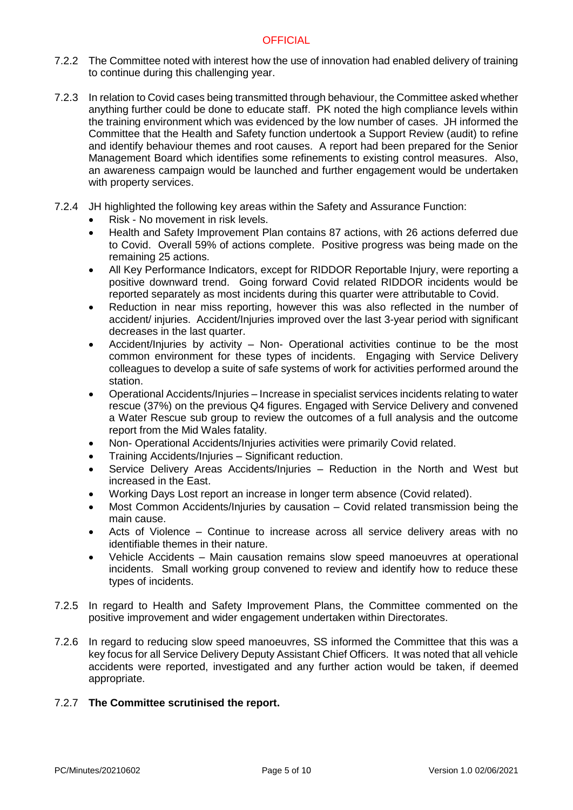- 7.2.2 The Committee noted with interest how the use of innovation had enabled delivery of training to continue during this challenging year.
- 7.2.3 In relation to Covid cases being transmitted through behaviour, the Committee asked whether anything further could be done to educate staff. PK noted the high compliance levels within the training environment which was evidenced by the low number of cases. JH informed the Committee that the Health and Safety function undertook a Support Review (audit) to refine and identify behaviour themes and root causes. A report had been prepared for the Senior Management Board which identifies some refinements to existing control measures. Also, an awareness campaign would be launched and further engagement would be undertaken with property services.
- 7.2.4 JH highlighted the following key areas within the Safety and Assurance Function:
	- Risk No movement in risk levels.
	- Health and Safety Improvement Plan contains 87 actions, with 26 actions deferred due to Covid. Overall 59% of actions complete. Positive progress was being made on the remaining 25 actions.
	- All Key Performance Indicators, except for RIDDOR Reportable Injury, were reporting a positive downward trend. Going forward Covid related RIDDOR incidents would be reported separately as most incidents during this quarter were attributable to Covid.
	- Reduction in near miss reporting, however this was also reflected in the number of accident/ injuries. Accident/Injuries improved over the last 3-year period with significant decreases in the last quarter.
	- Accident/Injuries by activity Non- Operational activities continue to be the most common environment for these types of incidents. Engaging with Service Delivery colleagues to develop a suite of safe systems of work for activities performed around the station.
	- Operational Accidents/Injuries Increase in specialist services incidents relating to water rescue (37%) on the previous Q4 figures. Engaged with Service Delivery and convened a Water Rescue sub group to review the outcomes of a full analysis and the outcome report from the Mid Wales fatality.
	- Non- Operational Accidents/Injuries activities were primarily Covid related.
	- Training Accidents/Injuries Significant reduction.
	- Service Delivery Areas Accidents/Injuries Reduction in the North and West but increased in the East.
	- Working Days Lost report an increase in longer term absence (Covid related).
	- Most Common Accidents/Injuries by causation Covid related transmission being the main cause.
	- Acts of Violence Continue to increase across all service delivery areas with no identifiable themes in their nature.
	- Vehicle Accidents Main causation remains slow speed manoeuvres at operational incidents. Small working group convened to review and identify how to reduce these types of incidents.
- 7.2.5 In regard to Health and Safety Improvement Plans, the Committee commented on the positive improvement and wider engagement undertaken within Directorates.
- 7.2.6 In regard to reducing slow speed manoeuvres, SS informed the Committee that this was a key focus for all Service Delivery Deputy Assistant Chief Officers. It was noted that all vehicle accidents were reported, investigated and any further action would be taken, if deemed appropriate.

# 7.2.7 **The Committee scrutinised the report.**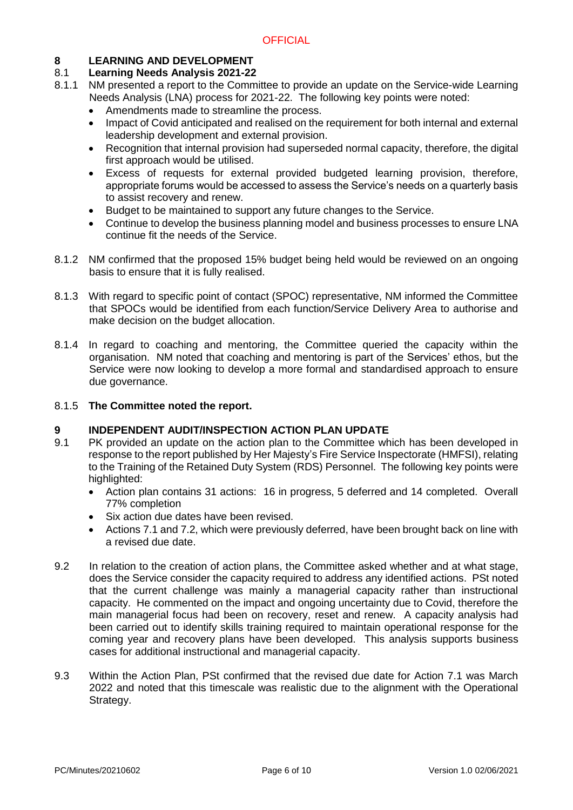# **8 LEARNING AND DEVELOPMENT**

# 8.1 **Learning Needs Analysis 2021-22**

- NM presented a report to the Committee to provide an update on the Service-wide Learning Needs Analysis (LNA) process for 2021-22. The following key points were noted:
	- Amendments made to streamline the process.
	- Impact of Covid anticipated and realised on the requirement for both internal and external leadership development and external provision.
	- Recognition that internal provision had superseded normal capacity, therefore, the digital first approach would be utilised.
	- Excess of requests for external provided budgeted learning provision, therefore, appropriate forums would be accessed to assess the Service's needs on a quarterly basis to assist recovery and renew.
	- Budget to be maintained to support any future changes to the Service.
	- Continue to develop the business planning model and business processes to ensure LNA continue fit the needs of the Service.
- 8.1.2 NM confirmed that the proposed 15% budget being held would be reviewed on an ongoing basis to ensure that it is fully realised.
- 8.1.3 With regard to specific point of contact (SPOC) representative, NM informed the Committee that SPOCs would be identified from each function/Service Delivery Area to authorise and make decision on the budget allocation.
- 8.1.4 In regard to coaching and mentoring, the Committee queried the capacity within the organisation. NM noted that coaching and mentoring is part of the Services' ethos, but the Service were now looking to develop a more formal and standardised approach to ensure due governance.

#### 8.1.5 **The Committee noted the report.**

# **9 INDEPENDENT AUDIT/INSPECTION ACTION PLAN UPDATE 9.1** PK provided an update on the action plan to the Committee wh

- PK provided an update on the action plan to the Committee which has been developed in response to the report published by Her Majesty's Fire Service Inspectorate (HMFSI), relating to the Training of the Retained Duty System (RDS) Personnel. The following key points were highlighted:
	- Action plan contains 31 actions: 16 in progress, 5 deferred and 14 completed. Overall 77% completion
	- Six action due dates have been revised.
	- Actions 7.1 and 7.2, which were previously deferred, have been brought back on line with a revised due date.
- 9.2 In relation to the creation of action plans, the Committee asked whether and at what stage, does the Service consider the capacity required to address any identified actions. PSt noted that the current challenge was mainly a managerial capacity rather than instructional capacity. He commented on the impact and ongoing uncertainty due to Covid, therefore the main managerial focus had been on recovery, reset and renew. A capacity analysis had been carried out to identify skills training required to maintain operational response for the coming year and recovery plans have been developed. This analysis supports business cases for additional instructional and managerial capacity.
- 9.3 Within the Action Plan, PSt confirmed that the revised due date for Action 7.1 was March 2022 and noted that this timescale was realistic due to the alignment with the Operational Strategy.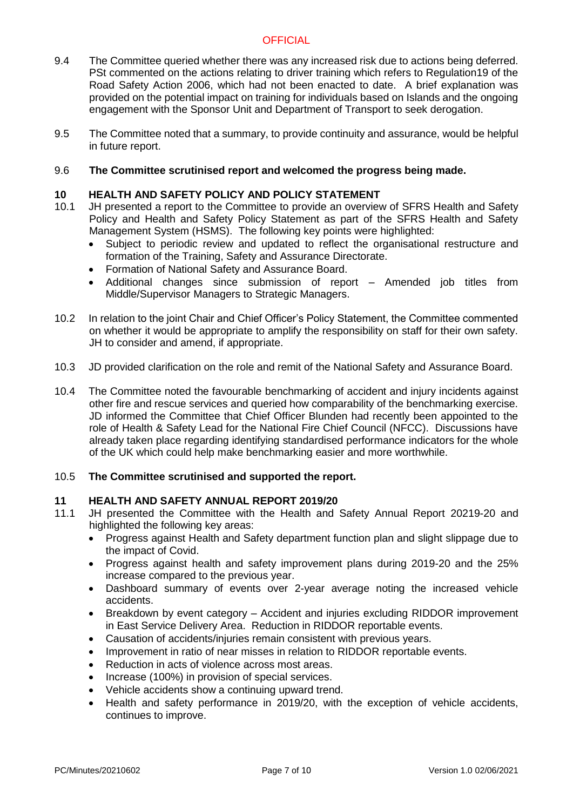- 9.4 The Committee queried whether there was any increased risk due to actions being deferred. PSt commented on the actions relating to driver training which refers to Regulation19 of the Road Safety Action 2006, which had not been enacted to date. A brief explanation was provided on the potential impact on training for individuals based on Islands and the ongoing engagement with the Sponsor Unit and Department of Transport to seek derogation.
- 9.5 The Committee noted that a summary, to provide continuity and assurance, would be helpful in future report.

#### 9.6 **The Committee scrutinised report and welcomed the progress being made.**

### **10 HEALTH AND SAFETY POLICY AND POLICY STATEMENT**

- 10.1 JH presented a report to the Committee to provide an overview of SFRS Health and Safety Policy and Health and Safety Policy Statement as part of the SFRS Health and Safety Management System (HSMS). The following key points were highlighted:
	- Subject to periodic review and updated to reflect the organisational restructure and formation of the Training, Safety and Assurance Directorate.
	- Formation of National Safety and Assurance Board.
	- Additional changes since submission of report Amended job titles from Middle/Supervisor Managers to Strategic Managers.
- 10.2 In relation to the joint Chair and Chief Officer's Policy Statement, the Committee commented on whether it would be appropriate to amplify the responsibility on staff for their own safety. JH to consider and amend, if appropriate.
- 10.3 JD provided clarification on the role and remit of the National Safety and Assurance Board.
- 10.4 The Committee noted the favourable benchmarking of accident and injury incidents against other fire and rescue services and queried how comparability of the benchmarking exercise. JD informed the Committee that Chief Officer Blunden had recently been appointed to the role of Health & Safety Lead for the National Fire Chief Council (NFCC). Discussions have already taken place regarding identifying standardised performance indicators for the whole of the UK which could help make benchmarking easier and more worthwhile.

#### 10.5 **The Committee scrutinised and supported the report.**

## **11 HEALTH AND SAFETY ANNUAL REPORT 2019/20**

- 11.1 JH presented the Committee with the Health and Safety Annual Report 20219-20 and highlighted the following key areas:
	- Progress against Health and Safety department function plan and slight slippage due to the impact of Covid.
	- Progress against health and safety improvement plans during 2019-20 and the 25% increase compared to the previous year.
	- Dashboard summary of events over 2-year average noting the increased vehicle accidents.
	- Breakdown by event category Accident and injuries excluding RIDDOR improvement in East Service Delivery Area. Reduction in RIDDOR reportable events.
	- Causation of accidents/injuries remain consistent with previous years.
	- Improvement in ratio of near misses in relation to RIDDOR reportable events.
	- Reduction in acts of violence across most areas.
	- Increase (100%) in provision of special services.
	- Vehicle accidents show a continuing upward trend.
	- Health and safety performance in 2019/20, with the exception of vehicle accidents, continues to improve.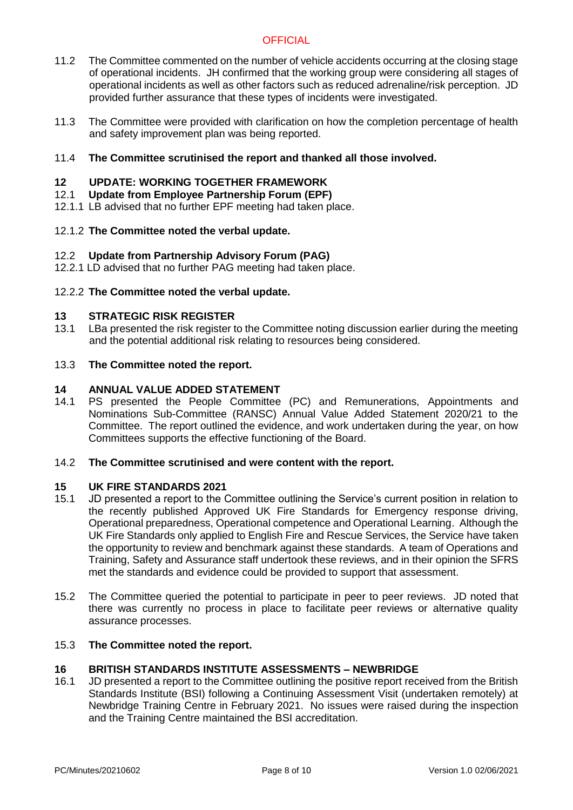- 11.2 The Committee commented on the number of vehicle accidents occurring at the closing stage of operational incidents. JH confirmed that the working group were considering all stages of operational incidents as well as other factors such as reduced adrenaline/risk perception. JD provided further assurance that these types of incidents were investigated.
- 11.3 The Committee were provided with clarification on how the completion percentage of health and safety improvement plan was being reported.
- 11.4 **The Committee scrutinised the report and thanked all those involved.**

# **12 UPDATE: WORKING TOGETHER FRAMEWORK**

- 12.1 **Update from Employee Partnership Forum (EPF)**
- 12.1.1 LB advised that no further EPF meeting had taken place.

## 12.1.2 **The Committee noted the verbal update.**

## 12.2 **Update from Partnership Advisory Forum (PAG)**

12.2.1 LD advised that no further PAG meeting had taken place.

## 12.2.2 **The Committee noted the verbal update.**

## **13 STRATEGIC RISK REGISTER**

13.1 LBa presented the risk register to the Committee noting discussion earlier during the meeting and the potential additional risk relating to resources being considered.

## 13.3 **The Committee noted the report.**

## **14 ANNUAL VALUE ADDED STATEMENT**

14.1 PS presented the People Committee (PC) and Remunerations, Appointments and Nominations Sub-Committee (RANSC) Annual Value Added Statement 2020/21 to the Committee. The report outlined the evidence, and work undertaken during the year, on how Committees supports the effective functioning of the Board.

#### 14.2 **The Committee scrutinised and were content with the report.**

#### **15 UK FIRE STANDARDS 2021**

- 15.1 JD presented a report to the Committee outlining the Service's current position in relation to the recently published Approved UK Fire Standards for Emergency response driving, Operational preparedness, Operational competence and Operational Learning. Although the UK Fire Standards only applied to English Fire and Rescue Services, the Service have taken the opportunity to review and benchmark against these standards. A team of Operations and Training, Safety and Assurance staff undertook these reviews, and in their opinion the SFRS met the standards and evidence could be provided to support that assessment.
- 15.2 The Committee queried the potential to participate in peer to peer reviews. JD noted that there was currently no process in place to facilitate peer reviews or alternative quality assurance processes.

#### 15.3 **The Committee noted the report.**

#### **16 BRITISH STANDARDS INSTITUTE ASSESSMENTS – NEWBRIDGE**

16.1 JD presented a report to the Committee outlining the positive report received from the British Standards Institute (BSI) following a Continuing Assessment Visit (undertaken remotely) at Newbridge Training Centre in February 2021. No issues were raised during the inspection and the Training Centre maintained the BSI accreditation.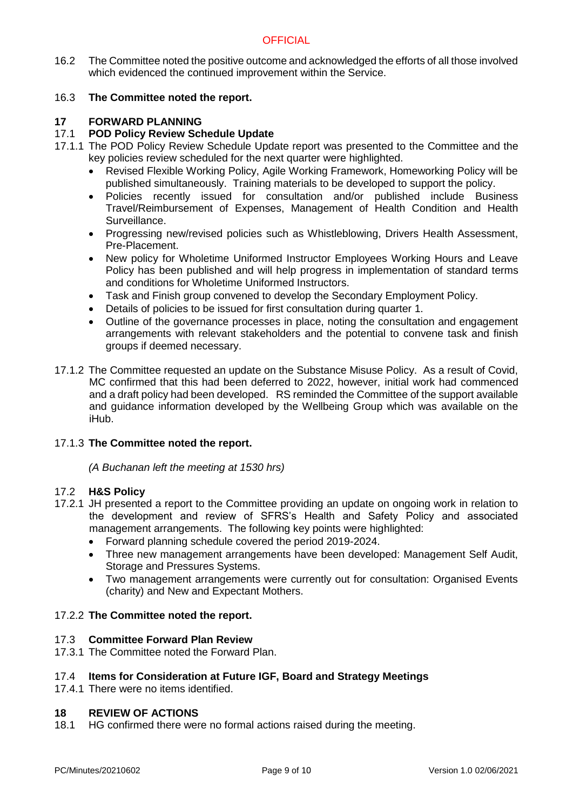16.2 The Committee noted the positive outcome and acknowledged the efforts of all those involved which evidenced the continued improvement within the Service.

# 16.3 **The Committee noted the report.**

# **17 FORWARD PLANNING**

# 17.1 **POD Policy Review Schedule Update**

- 17.1.1 The POD Policy Review Schedule Update report was presented to the Committee and the key policies review scheduled for the next quarter were highlighted.
	- Revised Flexible Working Policy, Agile Working Framework, Homeworking Policy will be published simultaneously. Training materials to be developed to support the policy.
	- Policies recently issued for consultation and/or published include Business Travel/Reimbursement of Expenses, Management of Health Condition and Health Surveillance.
	- Progressing new/revised policies such as Whistleblowing, Drivers Health Assessment, Pre-Placement.
	- New policy for Wholetime Uniformed Instructor Employees Working Hours and Leave Policy has been published and will help progress in implementation of standard terms and conditions for Wholetime Uniformed Instructors.
	- Task and Finish group convened to develop the Secondary Employment Policy.
	- Details of policies to be issued for first consultation during quarter 1.
	- Outline of the governance processes in place, noting the consultation and engagement arrangements with relevant stakeholders and the potential to convene task and finish groups if deemed necessary.
- 17.1.2 The Committee requested an update on the Substance Misuse Policy. As a result of Covid, MC confirmed that this had been deferred to 2022, however, initial work had commenced and a draft policy had been developed. RS reminded the Committee of the support available and guidance information developed by the Wellbeing Group which was available on the iHub.

# 17.1.3 **The Committee noted the report.**

*(A Buchanan left the meeting at 1530 hrs)*

#### 17.2 **H&S Policy**

- 17.2.1 JH presented a report to the Committee providing an update on ongoing work in relation to the development and review of SFRS's Health and Safety Policy and associated management arrangements. The following key points were highlighted:
	- Forward planning schedule covered the period 2019-2024.
	- Three new management arrangements have been developed: Management Self Audit, Storage and Pressures Systems.
	- Two management arrangements were currently out for consultation: Organised Events (charity) and New and Expectant Mothers.

# 17.2.2 **The Committee noted the report.**

## 17.3 **Committee Forward Plan Review**

17.3.1 The Committee noted the Forward Plan.

# 17.4 **Items for Consideration at Future IGF, Board and Strategy Meetings**

17.4.1 There were no items identified.

# **18 REVIEW OF ACTIONS**

18.1 HG confirmed there were no formal actions raised during the meeting.